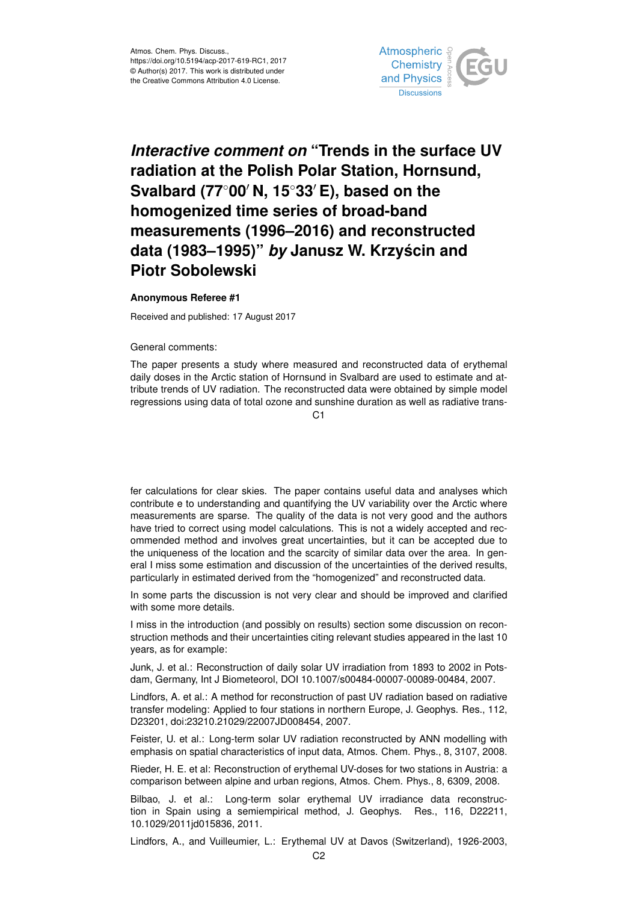

## *Interactive comment on* **"Trends in the surface UV radiation at the Polish Polar Station, Hornsund, Svalbard (77<sup>◦</sup>00<sup>'</sup> N, 15<sup>◦</sup>33<sup>'</sup> E), based on the homogenized time series of broad-band measurements (1996–2016) and reconstructed data (1983–1995)"** *by* **Janusz W. Krzyscin and ´ Piotr Sobolewski**

## **Anonymous Referee #1**

Received and published: 17 August 2017

General comments:

The paper presents a study where measured and reconstructed data of erythemal daily doses in the Arctic station of Hornsund in Svalbard are used to estimate and attribute trends of UV radiation. The reconstructed data were obtained by simple model regressions using data of total ozone and sunshine duration as well as radiative trans-

 $C<sub>1</sub>$ 

fer calculations for clear skies. The paper contains useful data and analyses which contribute e to understanding and quantifying the UV variability over the Arctic where measurements are sparse. The quality of the data is not very good and the authors have tried to correct using model calculations. This is not a widely accepted and recommended method and involves great uncertainties, but it can be accepted due to the uniqueness of the location and the scarcity of similar data over the area. In general I miss some estimation and discussion of the uncertainties of the derived results, particularly in estimated derived from the "homogenized" and reconstructed data.

In some parts the discussion is not very clear and should be improved and clarified with some more details.

I miss in the introduction (and possibly on results) section some discussion on reconstruction methods and their uncertainties citing relevant studies appeared in the last 10 years, as for example:

Junk, J. et al.: Reconstruction of daily solar UV irradiation from 1893 to 2002 in Potsdam, Germany, Int J Biometeorol, DOI 10.1007/s00484-00007-00089-00484, 2007.

Lindfors, A. et al.: A method for reconstruction of past UV radiation based on radiative transfer modeling: Applied to four stations in northern Europe, J. Geophys. Res., 112, D23201, doi:23210.21029/22007JD008454, 2007.

Feister, U. et al.: Long-term solar UV radiation reconstructed by ANN modelling with emphasis on spatial characteristics of input data, Atmos. Chem. Phys., 8, 3107, 2008.

Rieder, H. E. et al: Reconstruction of erythemal UV-doses for two stations in Austria: a comparison between alpine and urban regions, Atmos. Chem. Phys., 8, 6309, 2008.

Bilbao, J. et al.: Long-term solar erythemal UV irradiance data reconstruction in Spain using a semiempirical method, J. Geophys. Res., 116, D22211, 10.1029/2011jd015836, 2011.

Lindfors, A., and Vuilleumier, L.: Erythemal UV at Davos (Switzerland), 1926-2003,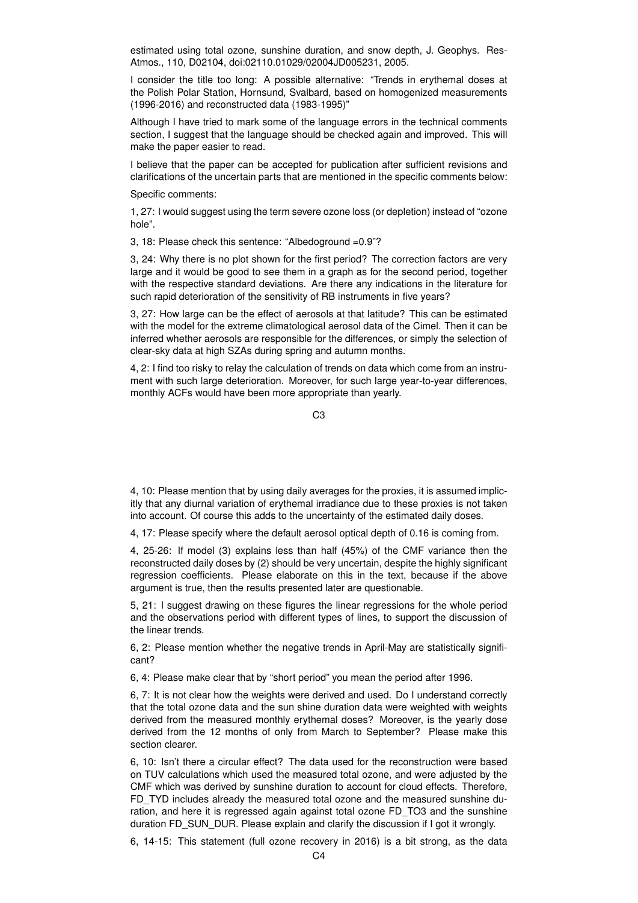estimated using total ozone, sunshine duration, and snow depth, J. Geophys. Res-Atmos., 110, D02104, doi:02110.01029/02004JD005231, 2005.

I consider the title too long: A possible alternative: "Trends in erythemal doses at the Polish Polar Station, Hornsund, Svalbard, based on homogenized measurements (1996-2016) and reconstructed data (1983-1995)"

Although I have tried to mark some of the language errors in the technical comments section, I suggest that the language should be checked again and improved. This will make the paper easier to read.

I believe that the paper can be accepted for publication after sufficient revisions and clarifications of the uncertain parts that are mentioned in the specific comments below:

Specific comments:

1, 27: I would suggest using the term severe ozone loss (or depletion) instead of "ozone hole".

3, 18: Please check this sentence: "Albedoground =0.9"?

3, 24: Why there is no plot shown for the first period? The correction factors are very large and it would be good to see them in a graph as for the second period, together with the respective standard deviations. Are there any indications in the literature for such rapid deterioration of the sensitivity of RB instruments in five years?

3, 27: How large can be the effect of aerosols at that latitude? This can be estimated with the model for the extreme climatological aerosol data of the Cimel. Then it can be inferred whether aerosols are responsible for the differences, or simply the selection of clear-sky data at high SZAs during spring and autumn months.

4, 2: I find too risky to relay the calculation of trends on data which come from an instrument with such large deterioration. Moreover, for such large year-to-year differences, monthly ACFs would have been more appropriate than yearly.

 $C<sub>3</sub>$ 

4, 10: Please mention that by using daily averages for the proxies, it is assumed implicitly that any diurnal variation of erythemal irradiance due to these proxies is not taken into account. Of course this adds to the uncertainty of the estimated daily doses.

4, 17: Please specify where the default aerosol optical depth of 0.16 is coming from.

4, 25-26: If model (3) explains less than half (45%) of the CMF variance then the reconstructed daily doses by (2) should be very uncertain, despite the highly significant regression coefficients. Please elaborate on this in the text, because if the above argument is true, then the results presented later are questionable.

5, 21: I suggest drawing on these figures the linear regressions for the whole period and the observations period with different types of lines, to support the discussion of the linear trends.

6, 2: Please mention whether the negative trends in April-May are statistically significant?

6, 4: Please make clear that by "short period" you mean the period after 1996.

6, 7: It is not clear how the weights were derived and used. Do I understand correctly that the total ozone data and the sun shine duration data were weighted with weights derived from the measured monthly erythemal doses? Moreover, is the yearly dose derived from the 12 months of only from March to September? Please make this section clearer.

6, 10: Isn't there a circular effect? The data used for the reconstruction were based on TUV calculations which used the measured total ozone, and were adjusted by the CMF which was derived by sunshine duration to account for cloud effects. Therefore, FD\_TYD includes already the measured total ozone and the measured sunshine duration, and here it is regressed again against total ozone FD\_TO3 and the sunshine duration FD\_SUN\_DUR. Please explain and clarify the discussion if I got it wrongly.

6, 14-15: This statement (full ozone recovery in 2016) is a bit strong, as the data